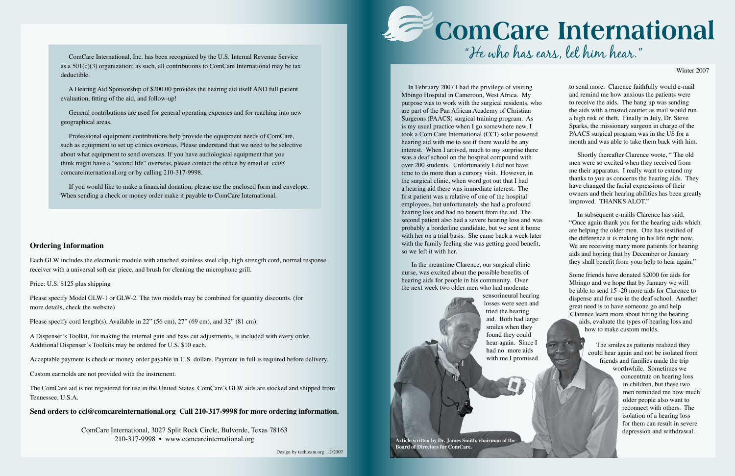### **Ordering Information**

Each GLW includes the electronic module with attached stainless steel clip, high strength cord, normal response receiver with a universal soft ear piece, and brush for cleaning the microphone grill.

Price: U.S. \$125 plus shipping

Please specify Model GLW-1 or GLW-2. The two models may be combined for quantity discounts. (for more details, check the website)

Please specify cord length(s). Available in 22" (56 cm), 27" (69 cm), and 32" (81 cm).

A Dispenser's Toolkit, for making the internal gain and bass cut adjustments, is included with every order. Additional Dispenser's Toolkits may be ordered for U.S. \$10 each.

Acceptable payment is check or money order payable in U.S. dollars. Payment in full is required before delivery.

Custom earmolds are not provided with the instrument.

The ComCare aid is not registered for use in the United States. ComCare's GLW aids are stocked and shipped from Tennessee, U.S.A.

**Send orders to cci@comcareinternational.org Call 210-317-9998 for more ordering information.**

ComCare International, 3027 Split Rock Circle, Bulverde, Texas 78163 210-317-9998 • www.comcareinternational.org

# "He who has ears, let him hear."

Winter 2007

 In February 2007 I had the privilege of visiting Mbingo Hospital in Cameroon, West Africa. My purpose was to work with the surgical residents, who are part of the Pan African Academy of Christian Surgeons (PAACS) surgical training program. As is my usual practice when I go somewhere new, I took a Com Care International (CCI) solar powered hearing aid with me to see if there would be any interest. When I arrived, much to my surprise there was a deaf school on the hospital compound with over 200 students. Unfortunately I did not have time to do more than a cursory visit. However, in the surgical clinic, when word got out that I had a hearing aid there was immediate interest. The first patient was a relative of one of the hospital employees, but unfortunately she had a profound hearing loss and had no benefit from the aid. The second patient also had a severe hearing loss and was probably a borderline candidate, but we sent it home with her on a trial basis. She came back a week later with the family feeling she was getting good benefit, so we left it with her.

 In the meantime Clarence, our surgical clinic nurse, was excited about the possible benefits of hearing aids for people in his community. Over the next week two older men who had moderate

> sensorineural hearing losses were seen and tried the hearing aid. Both had large smiles when they found they could hear again. Since I had no more aids with me I promised

to send more. Clarence faithfully would e-mail and remind me how anxious the patients were to receive the aids. The hang up was sending the aids with a trusted courier as mail would run a high risk of theft. Finally in July, Dr. Steve Sparks, the missionary surgeon in charge of the PAACS surgical program was in the US for a month and was able to take them back with him.

 Shortly thereafter Clarence wrote, " The old men were so excited when they received from me their apparatus. I really want to extend my thanks to you as concerns the hearing aids. They have changed the facial expressions of their owners and their hearing abilities has been greatly improved. THANKS ALOT."

 In subsequent e-mails Clarence has said, "Once again thank you for the hearing aids which are helping the older men. One has testified of the difference it is making in his life right now. We are receiving many more patients for hearing aids and hoping that by December or January they shall benefit from your help to hear again."

Some friends have donated \$2000 for aids for Mbingo and we hope that by January we will be able to send 15 -20 more aids for Clarence to dispense and for use in the deaf school. Another great need is to have someone go and help Clarence learn more about fitting the hearing aids, evaluate the types of hearing loss and how to make custom molds.

> The smiles as patients realized they could hear again and not be isolated from friends and families made the trip worthwhile. Sometimes we concentrate on hearing loss in children, but these two men reminded me how much older people also want to reconnect with others. The isolation of a hearing loss for them can result in severe depression and withdrawal.

 ComCare International, Inc. has been recognized by the U.S. Internal Revenue Service as a  $501(c)(3)$  organization; as such, all contributions to ComCare International may be tax deductible.

 A Hearing Aid Sponsorship of \$200.00 provides the hearing aid itself AND full patient evaluation, fitting of the aid, and follow-up!

 General contributions are used for general operating expenses and for reaching into new geographical areas.

 Professional equipment contributions help provide the equipment needs of ComCare, such as equipment to set up clinics overseas. Please understand that we need to be selective about what equipment to send overseas. If you have audiological equipment that you think might have a "second life" overseas, please contact the office by email at cci@ comcareinternational.org or by calling 210-317-9998.

 If you would like to make a financial donation, please use the enclosed form and envelope. When sending a check or money order make it payable to ComCare International.

> **Article written by Dr. James Smith, chairman of the Board of Directors for ComCare.**

Design by techteam.org 12/2007